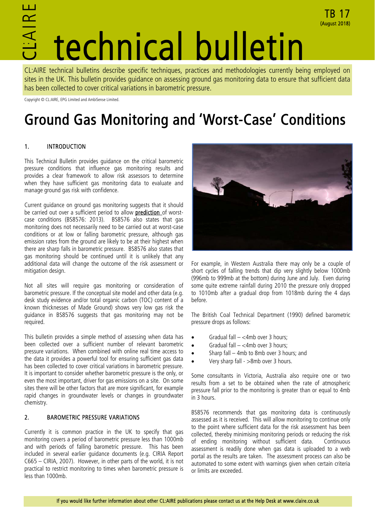### technical bulletin CL:AIRE

CL:AIRE technical bulletins describe specific techniques, practices and methodologies currently being employed on sites in the UK. This bulletin provides guidance on assessing ground gas monitoring data to ensure that sufficient data has been collected to cover critical variations in barometric pressure.

Copyright © CL:AIRE, EPG Limited and AmbiSense Limited.

### Ground Gas Monitoring and 'Worst-Case' Conditions

### 1. INTRODUCTION

This Technical Bulletin provides guidance on the critical barometric pressure conditions that influence gas monitoring results and provides a clear framework to allow risk assessors to determine when they have sufficient gas monitoring data to evaluate and manage ground gas risk with confidence.

Current guidance on ground gas monitoring suggests that it should be carried out over a sufficient period to allow prediction of worstcase conditions (BS8576: 2013). BS8576 also states that gas monitoring does not necessarily need to be carried out at worst-case conditions or at low or falling barometric pressure, although gas emission rates from the ground are likely to be at their highest when there are sharp falls in barometric pressure. BS8576 also states that gas monitoring should be continued until it is unlikely that any additional data will change the outcome of the risk assessment or mitigation design.

Not all sites will require gas monitoring or consideration of barometric pressure. If the conceptual site model and other data (e.g. desk study evidence and/or total organic carbon (TOC) content of a known thicknesses of Made Ground) shows very low gas risk the guidance in BS8576 suggests that gas monitoring may not be required.

This bulletin provides a simple method of assessing when data has been collected over a sufficient number of relevant barometric pressure variations. When combined with online real time access to the data it provides a powerful tool for ensuring sufficient gas data has been collected to cover critical variations in barometric pressure. It is important to consider whether barometric pressure is the only, or even the most important, driver for gas emissions on a site. On some sites there will be other factors that are more significant, for example rapid changes in groundwater levels or changes in groundwater chemistry.

### 2. BAROMETRIC PRESSURE VARIATIONS

Currently it is common practice in the UK to specify that gas monitoring covers a period of barometric pressure less than 1000mb and with periods of falling barometric pressure. This has been included in several earlier guidance documents (e.g. CIRIA Report C665 – CIRIA, 2007). However, in other parts of the world, it is not practical to restrict monitoring to times when barometric pressure is less than 1000mb.



TB 17 (August 2018)

For example, in Western Australia there may only be a couple of short cycles of falling trends that dip very slightly below 1000mb (996mb to 999mb at the bottom) during June and July. Even during some quite extreme rainfall during 2010 the pressure only dropped to 1010mb after a gradual drop from 1018mb during the 4 days before.

The British Coal Technical Department (1990) defined barometric pressure drops as follows:

- Gradual fall  $-$  <4mb over 3 hours;
- Gradual fall  $-$  <4mb over 3 hours;
- Sharp fall 4mb to 8mb over 3 hours; and
- Very sharp fall >8mb over 3 hours.

Some consultants in Victoria, Australia also require one or two results from a set to be obtained when the rate of atmospheric pressure fall prior to the monitoring is greater than or equal to 4mb in 3 hours.

BS8576 recommends that gas monitoring data is continuously assessed as it is received. This will allow monitoring to continue only to the point where sufficient data for the risk assessment has been collected, thereby minimising monitoring periods or reducing the risk of ending monitoring without sufficient data. Continuous assessment is readily done when gas data is uploaded to a web portal as the results are taken. The assessment process can also be automated to some extent with warnings given when certain criteria or limits are exceeded.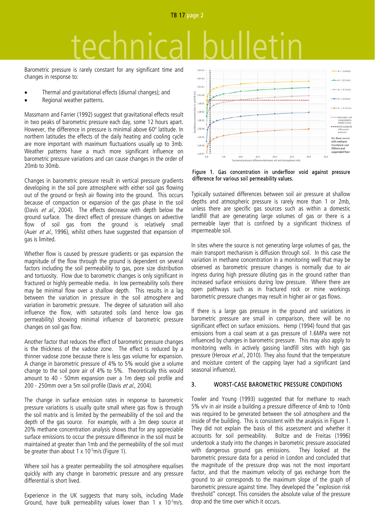TB 17 page 2

## technical bulletin

Barometric pressure is rarely constant for any significant time and changes in response to:

- Thermal and gravitational effects (diurnal changes); and
- Regional weather patterns.

Massmann and Farrier (1992) suggest that gravitational effects result in two peaks of barometric pressure each day, some 12 hours apart. However, the difference in pressure is minimal above  $60^\circ$  latitude. In northern latitudes the effects of the daily heating and cooling cycle are more important with maximum fluctuations usually up to 3mb. Weather patterns have a much more significant influence on barometric pressure variations and can cause changes in the order of 20mb to 30mb.

Changes in barometric pressure result in vertical pressure gradients developing in the soil pore atmosphere with either soil gas flowing out of the ground or fresh air flowing into the ground. This occurs because of compaction or expansion of the gas phase in the soil (Davis et al., 2004). The effects decrease with depth below the ground surface. The direct effect of pressure changes on advective flow of soil gas from the ground is relatively small (Auer et al., 1996), whilst others have suggested that expansion of gas is limited.

Whether flow is caused by pressure gradients or gas expansion the magnitude of the flow through the ground is dependent on several factors including the soil permeability to gas, pore size distribution and tortuosity. Flow due to barometric changes is only significant in fractured or highly permeable media. In low permeability soils there may be minimal flow over a shallow depth. This results in a lag between the variation in pressure in the soil atmosphere and variation in barometric pressure. The degree of saturation will also influence the flow, with saturated soils (and hence low gas permeability) showing minimal influence of barometric pressure changes on soil gas flow.

Another factor that reduces the effect of barometric pressure changes is the thickness of the vadose zone. The effect is reduced by a thinner vadose zone because there is less gas volume for expansion. A change in barometric pressure of 4% to 5% would give a volume change to the soil pore air of 4% to 5%. Theoretically this would amount to 40 - 50mm expansion over a 1m deep soil profile and 200 - 250mm over a 5m soil profile (Davis et al., 2004).

The change in surface emission rates in response to barometric pressure variations is usually quite small where gas flow is through the soil matrix and is limited by the permeability of the soil and the depth of the gas source. For example, with a 3m deep source at 20% methane concentration analysis shows that for any appreciable surface emissions to occur the pressure difference in the soil must be maintained at greater than 1mb and the permeability of the soil must be greater than about  $1 \times 10^{-5}$ m/s (Figure 1).

Where soil has a greater permeability the soil atmosphere equalises quickly with any change in barometric pressure and any pressure differential is short lived.

Experience in the UK suggests that many soils, including Made Ground, have bulk permeability values lower than  $1 \times 10^{-5}$  m/s.



Figure 1. Gas concentration in underfloor void against pressure difference for various soil permeability values.

Typically sustained differences between soil air pressure at shallow depths and atmospheric pressure is rarely more than 1 or 2mb, unless there are specific gas sources such as within a domestic landfill that are generating large volumes of gas or there is a permeable layer that is confined by a significant thickness of impermeable soil.

In sites where the source is not generating large volumes of gas, the main transport mechanism is diffusion through soil. In this case the variation in methane concentration in a monitoring well that may be observed as barometric pressure changes is normally due to air ingress during high pressure diluting gas in the ground rather than increased surface emissions during low pressure. Where there are open pathways such as in fractured rock or mine workings barometric pressure changes may result in higher air or gas flows.

If there is a large gas pressure in the ground and variations in barometric pressure are small in comparison, there will be no significant effect on surface emissions. Hemp (1994) found that gas emissions from a coal seam at a gas pressure of 1.6MPa were not influenced by changes in barometric pressure. This may also apply to monitoring wells in actively gassing landfill sites with high gas pressure (Heroux *et al.*, 2010). They also found that the temperature and moisture content of the capping layer had a significant (and seasonal influence).

### 3. WORST-CASE BAROMETRIC PRESSURE CONDITIONS

Towler and Young (1993) suggested that for methane to reach 5% v/v in air inside a building a pressure difference of 4mb to 10mb was required to be generated between the soil atmosphere and the inside of the building. This is consistent with the analysis in Figure 1. They did not explain the basis of this assessment and whether it accounts for soil permeability. Boltze and de Freitas (1996) undertook a study into the changes in barometric pressure associated with dangerous ground gas emissions. They looked at the barometric pressure data for a period in London and concluded that the magnitude of the pressure drop was not the most important factor, and that the maximum velocity of gas exchange from the ground to air corresponds to the maximum slope of the graph of barometric pressure against time. They developed the "explosion risk threshold" concept. This considers the absolute value of the pressure drop and the time over which it occurs.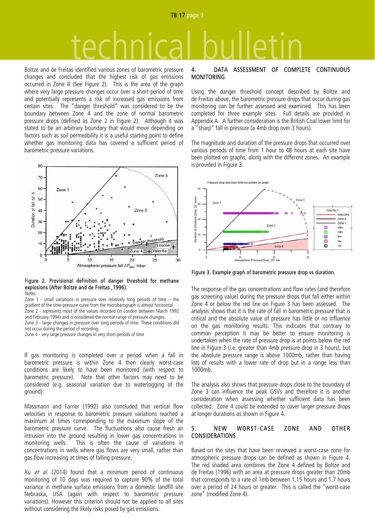# technical bulletin

Boltze and de Freitas identified various zones of barometric pressure changes and concluded that the highest risk of gas emissions occurred in Zone 4 (See Figure 2). This is the area of the graph where very large pressure changes occur over a short period of time and potentially represents a risk of increased gas emissions from certain sites. The "danger threshold" was considered to be the boundary between Zone 4 and the zone of normal barometric pressure drops (defined as Zone 2 in Figure 2). Although it was stated to be an arbitrary boundary that would move depending on factors such as soil permeability it is a useful starting point to define whether gas monitoring data has covered a sufficient period of barometric pressure variations.



### Figure 2. Provisional definition of danger threshold for methane explosions (After Boltze and de Freitas ,1996).

Notes:

Zone 1 - small variations in pressure over relatively long periods of time – the gradient of the time-pressure curve from the microbarograph is almost horizontal Zone 2 - represents most of the values recorded (in London between March 1992 and February 1994) and is considered the normal range of pressure changes. Zone 3 - large changes in pressure over long periods of time. These conditions did not occur during the period of recording.

Zone 4 - very large pressure changes in very short periods of time

If gas monitoring is completed over a period when a fall in barometric pressure is within Zone 4 then clearly worst-case conditions are likely to have been monitored (with respect to barometric pressure). Note that other factors may need to be considered (e.g. seasonal variation due to waterlogging of the ground).

Massmann and Farrier (1992) also concluded that vertical flow velocities in response to barometric pressure variations reached a maximum at times corresponding to the maximum slope of the barometric pressure curve. The fluctuations also cause fresh air intrusion into the ground resulting in lower gas concentrations in monitoring wells. This is often the cause of variations in concentrations in wells where gas flows are very small, rather than gas flow increasing at times of falling pressure.

Xu et  $a$ . (2014) found that a minimum period of continuous monitoring of 10 days was required to capture 90% of the total variance in methane surface emissions from a domestic landfill site Nebraska, USA (again with respect to barometric pressure variations). However this criterion should not be applied to all sites without considering the likely risks posed by gas emissions.

### 4. DATA ASSESSMENT OF COMPLETE CONTINUOUS MONITORING

Using the danger threshold concept described by Boltze and de Freitas above, the barometric pressure drops that occur during gas monitoring can be further assessed and examined. This has been completed for three example sites. Full details are provided in Appendix A. A further consideration is the British Coal lower limit for a "sharp" fall in pressure (a 4mb drop over 3 hours).

The magnitude and duration of the pressure drops that occurred over various periods of time from 1 hour to 48 hours at each site have been plotted on graphs, along with the different zones. An example is provided in Figure 3.



Figure 3. Example graph of barometric pressure drop vs duration.

The response of the gas concentrations and flow rates (and therefore gas screening value) during the pressure drops that fall either within Zone 4 or below the red line on Figure 3 has been assessed. The analysis shows that it is the rate of fall in barometric pressure that is critical and the absolute value of pressure has little or no influence on the gas monitoring results. This indicates that contrary to common perception it may be better to ensure monitoring is undertaken when the rate of pressure drop is at points below the red line in Figure 3 (i.e. greater than 4mb pressure drop in 3 hours), but the absolute pressure range is above 1000mb, rather than having lots of results with a lower rate of drop but in a range less than 1000mb.

The analysis also shows that pressure drops close to the boundary of Zone 3 can influence the peak GSVs and therefore it is another consideration when assessing whether sufficient data has been collected. Zone 4 could be extended to cover larger pressure drops at longer durations as shown in Figure 4.

### 5. NEW WORST-CASE ZONE AND OTHER CONSIDERATIONS

Based on the sites that have been reviewed a worst-case zone for atmospheric pressure drops can be defined as shown in Figure 4. The red shaded area combines the Zone 4 defined by Boltze and de Freitas (1996) with an area at pressure drops greater than 20mb that corresponds to a rate of 1mb between 1.15 hours and 1.7 hours over a period of 24 hours or greater. This is called the "worst-case zone" (modified Zone 4).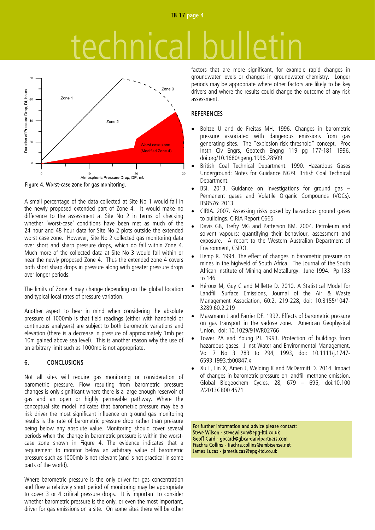# technical bulletin



Figure 4. Worst-case zone for gas monitoring.

A small percentage of the data collected at Site No 1 would fall in the newly proposed extended part of Zone 4. It would make no difference to the assessment at Site No 2 in terms of checking whether 'worst-case' conditions have been met as much of the 24 hour and 48 hour data for Site No 2 plots outside the extended worst case zone. However, Site No 2 collected gas monitoring data over short and sharp pressure drops, which do fall within Zone 4. Much more of the collected data at Site No 3 would fall within or near the newly proposed Zone 4. Thus the extended zone 4 covers both short sharp drops in pressure along with greater pressure drops over longer periods.

The limits of Zone 4 may change depending on the global location and typical local rates of pressure variation.

Another aspect to bear in mind when considering the absolute pressure of 1000mb is that field readings (either with handheld or continuous analysers) are subject to both barometric variations and elevation (there is a decrease in pressure of approximately 1mb per 10m gained above sea level). This is another reason why the use of an arbitrary limit such as 1000mb is not appropriate.

### 6. CONCLUSIONS

Not all sites will require gas monitoring or consideration of barometric pressure. Flow resulting from barometric pressure changes is only significant where there is a large enough reservoir of gas and an open or highly permeable pathway. Where the conceptual site model indicates that barometric pressure may be a risk driver the most significant influence on ground gas monitoring results is the rate of barometric pressure drop rather than pressure being below any absolute value. Monitoring should cover several periods when the change in barometric pressure is within the worstcase zone shown in Figure 4. The evidence indicates that a requirement to monitor below an arbitrary value of barometric pressure such as 1000mb is not relevant (and is not practical in some parts of the world).

Where barometric pressure is the only driver for gas concentration and flow a relatively short period of monitoring may be appropriate to cover 3 or 4 critical pressure drops. It is important to consider whether barometric pressure is the only, or even the most important, driver for gas emissions on a site. On some sites there will be other

factors that are more significant, for example rapid changes in groundwater levels or changes in groundwater chemistry. Longer periods may be appropriate where other factors are likely to be key drivers and where the results could change the outcome of any risk assessment.

### **REFERENCES**

- Boltze U and de Freitas MH. 1996. Changes in barometric pressure associated with dangerous emissions from gas generating sites. The "explosion risk threshold" concept. Proc Instn Civ Engrs, Geotech Engng 119 pg 177-181 1996, doi.org/10.1680/igeng.1996.28509
- British Coal Technical Department. 1990. Hazardous Gases Underground: Notes for Guidance NG/9. British Coal Technical Department.
- BSI. 2013. Guidance on investigations for ground gas Permanent gases and Volatile Organic Compounds (VOCs). BS8576: 2013
- CIRIA. 2007. Assessing risks posed by hazardous ground gases to buildings. CIRIA Report C665
- Davis GB, Trefry MG and Patterson BM. 2004. Petroleum and solvent vapours: quantifying their behaviour, assessment and exposure. A report to the Western Australian Department of Environment, CSIRO.
- Hemp R. 1994. The effect of changes in barometric pressure on mines in the highveld of South Africa. The Journal of the South African Institute of Mining and Metallurgy. June 1994. Pp 133 to 146
- Héroux M, Guy C and Millette D. 2010. A Statistical Model for Landfill Surface Emissions, Journal of the Air & Waste Management Association, 60:2, 219-228, doi: 10.3155/1047- 3289.60.2.219
- Massmann J and Farrier DF. 1992. Effects of barometric pressure on gas transport in the vadose zone. American Geophysical Union. doi: 10.1029/91WR02766
- Tower PA and Young PJ. 1993. Protection of buildings from hazardous gases. J Inst Water and Environmental Management. Vol 7 No 3 283 to 294, 1993, doi: 10.1111/j.1747- 6593.1993.tb00847.x
- Xu L, Lin X, Amen J, Welding K and McDermitt D. 2014. Impact of changes in barometric pressure on landfill methane emission. Global Biogeochem Cycles, 28, 679 – 695, doi:10.100 2/2013GB00 4571

For further information and advice please contact: Steve Wilson - stevewilson@epg-ltd.co.uk Geoff Card - gbcard@gbcardandpartners.com Fiachra Collins - fiachra.collins@ambisense.net James Lucas - jameslucas@epg-ltd.co.uk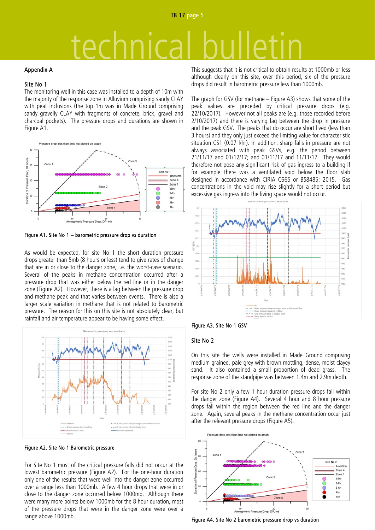### TB 17 page 5

## technical bulletin

### Appendix A

### Site No 1

The monitoring well in this case was installed to a depth of 10m with the majority of the response zone in Alluvium comprising sandy CLAY with peat inclusions (the top 1m was in Made Ground comprising sandy gravelly CLAY with fragments of concrete, brick, gravel and charcoal pockets). The pressure drops and durations are shown in Figure A1.



Figure A1. Site No 1 – barometric pressure drop vs duration

As would be expected, for site No 1 the short duration pressure drops greater than 5mb (8 hours or less) tend to give rates of change that are in or close to the danger zone, i.e. the worst-case scenario. Several of the peaks in methane concentration occurred after a pressure drop that was either below the red line or in the danger zone (Figure A2). However, there is a lag between the pressure drop and methane peak and that varies between events. There is also a larger scale variation in methane that is not related to barometric pressure. The reason for this on this site is not absolutely clear, but rainfall and air temperature appear to be having some effect.



Figure A2. Site No 1 Barometric pressure

For Site No 1 most of the critical pressure falls did not occur at the lowest barometric pressure (Figure A2). For the one-hour duration only one of the results that were well into the danger zone occurred over a range less than 1000mb. A few 4 hour drops that were in or close to the danger zone occurred below 1000mb. Although there were many more points below 1000mb for the 8 hour duration, most of the pressure drops that were in the danger zone were over a range above 1000mb.

This suggests that it is not critical to obtain results at 1000mb or less although clearly on this site, over this period, six of the pressure drops did result in barometric pressure less than 1000mb.

The graph for GSV (for methane – Figure A3) shows that some of the peak values are preceded by critical pressure drops (e.g. 22/10/2017). However not all peaks are (e.g. those recorded before 2/10/2017) and there is varying lag between the drop in pressure and the peak GSV. The peaks that do occur are short lived (less than 3 hours) and they only just exceed the limiting value for characteristic situation CS1 (0.07 l/hr). In addition, sharp falls in pressure are not always associated with peak GSVs, e.g. the period between 21/11/17 and 01/12/17; and 01/11/17 and 11/11/17. They would therefore not pose any significant risk of gas ingress to a building if for example there was a ventilated void below the floor slab designed in accordance with CIRIA C665 or BS8485: 2015. Gas concentrations in the void may rise slightly for a short period but excessive gas ingress into the living space would not occur.



Figure A3. Site No 1 GSV

### Site No 2

On this site the wells were installed in Made Ground comprising medium grained, pale grey with brown mottling, dense, moist clayey sand. It also contained a small proportion of dead grass. The response zone of the standpipe was between 1.4m and 2.9m depth.

For site No 2 only a few 1 hour duration pressure drops fall within the danger zone (Figure A4). Several 4 hour and 8 hour pressure drops fall within the region between the red line and the danger zone. Again, several peaks in the methane concentration occur just after the relevant pressure drops (Figure A5).



Figure A4. Site No 2 barometric pressure drop vs duration